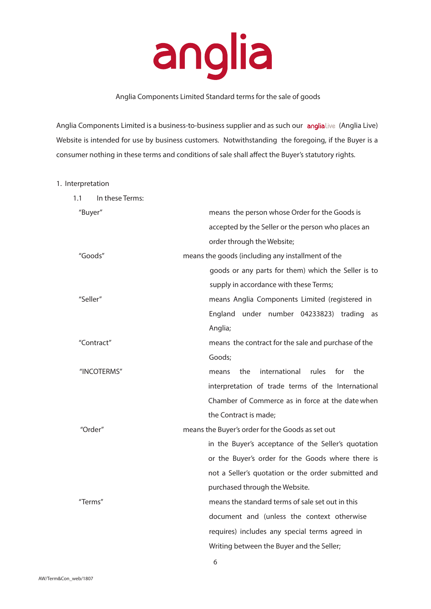

# Anglia Components Limited Standard terms for the sale of goods

Anglia Components Limited is a business-to-business supplier and as such our anglia Live (Anglia Live) Website is intended for use by business customers. Notwithstanding the foregoing, if the Buyer is a consumer nothing in these terms and conditions of sale shall affect the Buyer's statutory rights.

# 1. Interpretation

| In these Terms:<br>1.1 |                                                      |
|------------------------|------------------------------------------------------|
| "Buyer"                | means the person whose Order for the Goods is        |
|                        | accepted by the Seller or the person who places an   |
|                        | order through the Website;                           |
| "Goods"                | means the goods (including any installment of the    |
|                        | goods or any parts for them) which the Seller is to  |
|                        | supply in accordance with these Terms;               |
| "Seller"               | means Anglia Components Limited (registered in       |
|                        | England under number 04233823) trading<br>as         |
|                        | Anglia;                                              |
| "Contract"             | means the contract for the sale and purchase of the  |
|                        | Goods;                                               |
| "INCOTERMS"            | international<br>rules<br>for<br>the<br>the<br>means |
|                        | interpretation of trade terms of the International   |
|                        | Chamber of Commerce as in force at the date when     |
|                        | the Contract is made;                                |
| "Order"                | means the Buyer's order for the Goods as set out     |
|                        | in the Buyer's acceptance of the Seller's quotation  |
|                        | or the Buyer's order for the Goods where there is    |
|                        | not a Seller's quotation or the order submitted and  |
|                        | purchased through the Website.                       |
| "Terms"                | means the standard terms of sale set out in this     |
|                        | document and (unless the context otherwise           |
|                        | requires) includes any special terms agreed in       |
|                        | Writing between the Buyer and the Seller;            |

6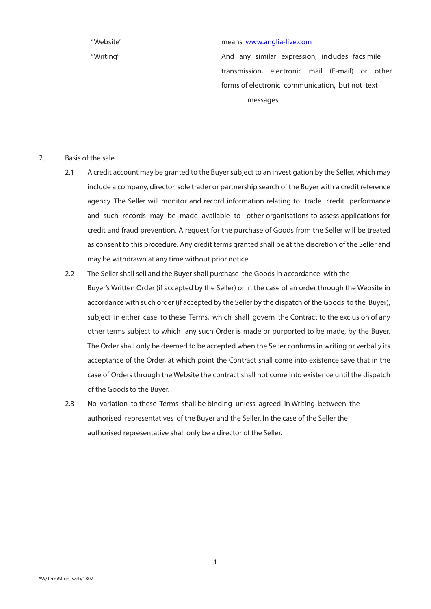#### "Website" means www.anglia-live.com

"Writing" And any similar expression, includes facsimile transmission, electronic mail (E‐mail) or other forms of electronic communication, but not text messages.

- 2. Basis of the sale
	- 2.1 A credit account may be granted to the Buyer subject to an investigation by the Seller, which may include a company, director, sole trader or partnership search of the Buyer with a credit reference agency. The Seller will monitor and record information relating to trade credit performance and such records may be made available to other organisations to assess applications for credit and fraud prevention. A request for the purchase of Goods from the Seller will be treated as consent to this procedure. Any credit terms granted shall be at the discretion of the Seller and may be withdrawn at any time without prior notice.
	- 2.2 The Seller shall sell and the Buyer shall purchase the Goods in accordance with the Buyer's Written Order (if accepted by the Seller) or in the case of an order through the Website in accordance with such order (if accepted by the Seller by the dispatch of the Goods to the Buyer), subject in either case to these Terms, which shall govern the Contract to the exclusion of any other terms subject to which any such Order is made or purported to be made, by the Buyer. The Order shall only be deemed to be accepted when the Seller confirms in writing or verbally its acceptance of the Order, at which point the Contract shall come into existence save that in the case of Orders through the Website the contract shall not come into existence until the dispatch of the Goods to the Buyer.
	- 2.3 No variation to these Terms shall be binding unless agreed in Writing between the authorised representatives of the Buyer and the Seller. In the case of the Seller the authorised representative shall only be a director of the Seller.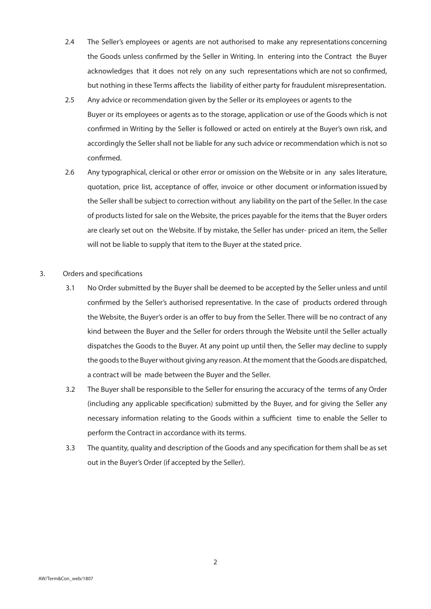- 2.4 The Seller's employees or agents are not authorised to make any representations concerning the Goods unless confirmed by the Seller in Writing. In entering into the Contract the Buyer acknowledges that it does not rely on any such representations which are not so confirmed, but nothing in these Terms affects the liability of either party for fraudulent misrepresentation.
- 2.5 Any advice or recommendation given by the Seller or its employees or agents to the Buyer or its employees or agents as to the storage, application or use of the Goods which is not confirmed in Writing by the Seller is followed or acted on entirely at the Buyer's own risk, and accordingly the Seller shall not be liable for any such advice or recommendation which is not so confirmed.
- 2.6 Any typographical, clerical or other error or omission on the Website or in any sales literature, quotation, price list, acceptance of offer, invoice or other document or information issued by the Seller shall be subject to correction without any liability on the part of the Seller. In the case of products listed for sale on the Website, the prices payable for the items that the Buyer orders are clearly set out on the Website. If by mistake, the Seller has under- priced an item, the Seller will not be liable to supply that item to the Buyer at the stated price.
- 3. Orders and specifications
	- 3.1 No Order submitted by the Buyer shall be deemed to be accepted by the Seller unless and until confirmed by the Seller's authorised representative. In the case of products ordered through the Website, the Buyer's order is an offer to buy from the Seller. There will be no contract of any kind between the Buyer and the Seller for orders through the Website until the Seller actually dispatches the Goods to the Buyer. At any point up until then, the Seller may decline to supply the goods to the Buyer without giving any reason. At the moment that the Goods are dispatched, a contract will be made between the Buyer and the Seller.
	- 3.2 The Buyer shall be responsible to the Seller for ensuring the accuracy of the terms of any Order (including any applicable specification) submitted by the Buyer, and for giving the Seller any necessary information relating to the Goods within a sufficient time to enable the Seller to perform the Contract in accordance with its terms.
	- 3.3 The quantity, quality and description of the Goods and any specification for them shall be as set out in the Buyer's Order (if accepted by the Seller).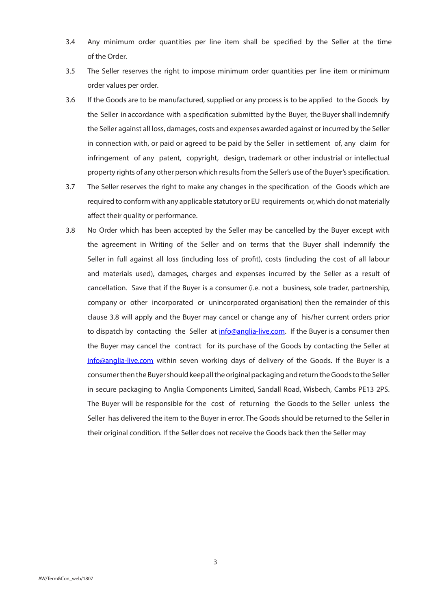- 3.4 Any minimum order quantities per line item shall be specified by the Seller at the time of the Order.
- 3.5 The Seller reserves the right to impose minimum order quantities per line item or minimum order values per order.
- 3.6 If the Goods are to be manufactured, supplied or any process is to be applied to the Goods by the Seller in accordance with a specification submitted by the Buyer, the Buyer shall indemnify the Seller against all loss, damages, costs and expenses awarded against or incurred by the Seller in connection with, or paid or agreed to be paid by the Seller in settlement of, any claim for infringement of any patent, copyright, design, trademark or other industrial or intellectual property rights of any other person which results from the Seller's use of the Buyer's specification.
- 3.7 The Seller reserves the right to make any changes in the specification of the Goods which are required to conform with any applicable statutory or EU requirements or, which do not materially affect their quality or performance.
- 3.8 No Order which has been accepted by the Seller may be cancelled by the Buyer except with the agreement in Writing of the Seller and on terms that the Buyer shall indemnify the Seller in full against all loss (including loss of profit), costs (including the cost of all labour and materials used), damages, charges and expenses incurred by the Seller as a result of cancellation. Save that if the Buyer is a consumer (i.e. not a business, sole trader, partnership, company or other incorporated or unincorporated organisation) then the remainder of this clause 3.8 will apply and the Buyer may cancel or change any of his/her current orders prior to dispatch by contacting the Seller at info@anglia-live.com. If the Buyer is a consumer then the Buyer may cancel the contract for its purchase of the Goods by contacting the Seller at info@anglia-live.com within seven working days of delivery of the Goods. If the Buyer is a consumer then the Buyer should keep all the original packaging and return the Goods to the Seller in secure packaging to Anglia Components Limited, Sandall Road, Wisbech, Cambs PE13 2PS. The Buyer will be responsible for the cost of returning the Goods to the Seller unless the Seller has delivered the item to the Buyer in error. The Goods should be returned to the Seller in their original condition. If the Seller does not receive the Goods back then the Seller may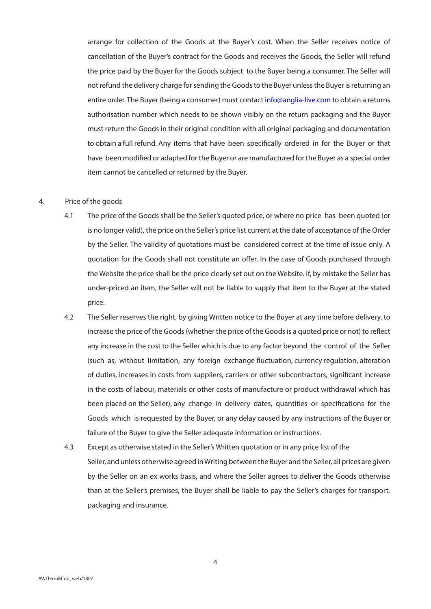arrange for collection of the Goods at the Buyer's cost. When the Seller receives notice of cancellation of the Buyer's contract for the Goods and receives the Goods, the Seller will refund the price paid by the Buyer for the Goods subject to the Buyer being a consumer. The Seller will not refund the delivery charge for sending the Goods to the Buyer unless the Buyer is returning an entire order. The Buyer (being a consumer) must contact info@anglia-live.com to obtain a returns authorisation number which needs to be shown visibly on the return packaging and the Buyer must return the Goods in their original condition with all original packaging and documentation to obtain a full refund. Any items that have been specifically ordered in for the Buyer or that have been modified or adapted for the Buyer or are manufactured for the Buyer as a special order item cannot be cancelled or returned by the Buyer.

## 4. Price of the goods

- 4.1 The price of the Goods shall be the Seller's quoted price, or where no price has been quoted (or is no longer valid), the price on the Seller's price list current at the date of acceptance of the Order by the Seller. The validity of quotations must be considered correct at the time of issue only. A quotation for the Goods shall not constitute an offer. In the case of Goods purchased through the Website the price shall be the price clearly set out on the Website. If, by mistake the Seller has under‐priced an item, the Seller will not be liable to supply that item to the Buyer at the stated price.
- 4.2 The Seller reserves the right, by giving Written notice to the Buyer at any time before delivery, to increase the price of the Goods (whether the price of the Goods is a quoted price or not) to reflect any increase in the cost to the Seller which is due to any factor beyond the control of the Seller (such as, without limitation, any foreign exchange fluctuation, currency regulation, alteration of duties, increases in costs from suppliers, carriers or other subcontractors, significant increase in the costs of labour, materials or other costs of manufacture or product withdrawal which has been placed on the Seller), any change in delivery dates, quantities or specifications for the Goods which is requested by the Buyer, or any delay caused by any instructions of the Buyer or failure of the Buyer to give the Seller adequate information or instructions.
- 4.3 Except as otherwise stated in the Seller's Written quotation or in any price list of the Seller, and unless otherwise agreed in Writing between the Buyer and the Seller, all prices are given by the Seller on an ex works basis, and where the Seller agrees to deliver the Goods otherwise than at the Seller's premises, the Buyer shall be liable to pay the Seller's charges for transport, packaging and insurance.

4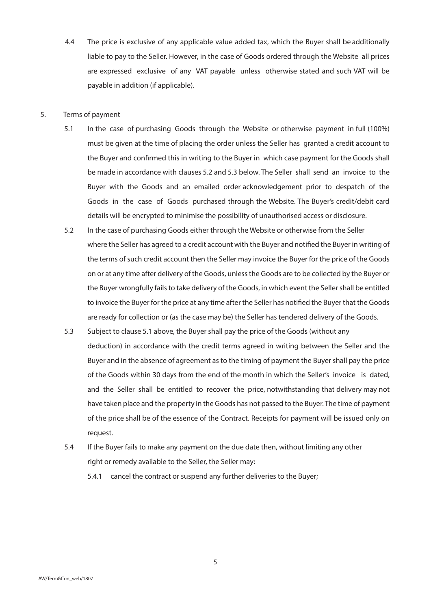4.4 The price is exclusive of any applicable value added tax, which the Buyer shall be additionally liable to pay to the Seller. However, in the case of Goods ordered through the Website all prices are expressed exclusive of any VAT payable unless otherwise stated and such VAT will be payable in addition (if applicable).

## 5. Terms of payment

- 5.1 In the case of purchasing Goods through the Website or otherwise payment in full (100%) must be given at the time of placing the order unless the Seller has granted a credit account to the Buyer and confirmed this in writing to the Buyer in which case payment for the Goods shall be made in accordance with clauses 5.2 and 5.3 below. The Seller shall send an invoice to the Buyer with the Goods and an emailed order acknowledgement prior to despatch of the Goods in the case of Goods purchased through the Website. The Buyer's credit/debit card details will be encrypted to minimise the possibility of unauthorised access or disclosure.
- 5.2 In the case of purchasing Goods either through the Website or otherwise from the Seller where the Seller has agreed to a credit account with the Buyer and notified the Buyer in writing of the terms of such credit account then the Seller may invoice the Buyer for the price of the Goods on or at any time after delivery of the Goods, unless the Goods are to be collected by the Buyer or the Buyer wrongfully fails to take delivery of the Goods, in which event the Seller shall be entitled to invoice the Buyer for the price at any time after the Seller has notified the Buyer that the Goods are ready for collection or (as the case may be) the Seller has tendered delivery of the Goods.
- 5.3 Subject to clause 5.1 above, the Buyer shall pay the price of the Goods (without any deduction) in accordance with the credit terms agreed in writing between the Seller and the Buyer and in the absence of agreement as to the timing of payment the Buyer shall pay the price of the Goods within 30 days from the end of the month in which the Seller's invoice is dated, and the Seller shall be entitled to recover the price, notwithstanding that delivery may not have taken place and the property in the Goods has not passed to the Buyer. The time of payment of the price shall be of the essence of the Contract. Receipts for payment will be issued only on request.
- 5.4 If the Buyer fails to make any payment on the due date then, without limiting any other right or remedy available to the Seller, the Seller may:

5.4.1 cancel the contract or suspend any further deliveries to the Buyer;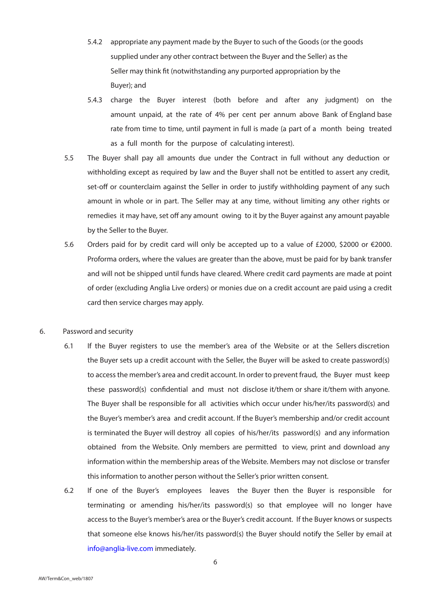- 5.4.2 appropriate any payment made by the Buyer to such of the Goods (or the goods supplied under any other contract between the Buyer and the Seller) as the Seller may think fit (notwithstanding any purported appropriation by the Buyer); and
- 5.4.3 charge the Buyer interest (both before and after any judgment) on the amount unpaid, at the rate of 4% per cent per annum above Bank of England base rate from time to time, until payment in full is made (a part of a month being treated as a full month for the purpose of calculating interest).
- 5.5 The Buyer shall pay all amounts due under the Contract in full without any deduction or withholding except as required by law and the Buyer shall not be entitled to assert any credit, set-off or counterclaim against the Seller in order to justify withholding payment of any such amount in whole or in part. The Seller may at any time, without limiting any other rights or remedies it may have, set off any amount owing to it by the Buyer against any amount payable by the Seller to the Buyer.
- 5.6 Orders paid for by credit card will only be accepted up to a value of £2000, \$2000 or €2000. Proforma orders, where the values are greater than the above, must be paid for by bank transfer and will not be shipped until funds have cleared. Where credit card payments are made at point of order (excluding Anglia Live orders) or monies due on a credit account are paid using a credit card then service charges may apply.

# 6. Password and security

- 6.1 If the Buyer registers to use the member's area of the Website or at the Sellers discretion the Buyer sets up a credit account with the Seller, the Buyer will be asked to create password(s) to access the member's area and credit account. In order to prevent fraud, the Buyer must keep these password(s) confidential and must not disclose it/them or share it/them with anyone. The Buyer shall be responsible for all activities which occur under his/her/its password(s) and the Buyer's member's area and credit account. If the Buyer's membership and/or credit account is terminated the Buyer will destroy all copies of his/her/its password(s) and any information obtained from the Website. Only members are permitted to view, print and download any information within the membership areas of the Website. Members may not disclose or transfer this information to another person without the Seller's prior written consent.
- 6.2 If one of the Buyer's employees leaves the Buyer then the Buyer is responsible for terminating or amending his/her/its password(s) so that employee will no longer have access to the Buyer's member's area or the Buyer's credit account. If the Buyer knows or suspects that someone else knows his/her/its password(s) the Buyer should notify the Seller by email at info@anglia‐live.com immediately.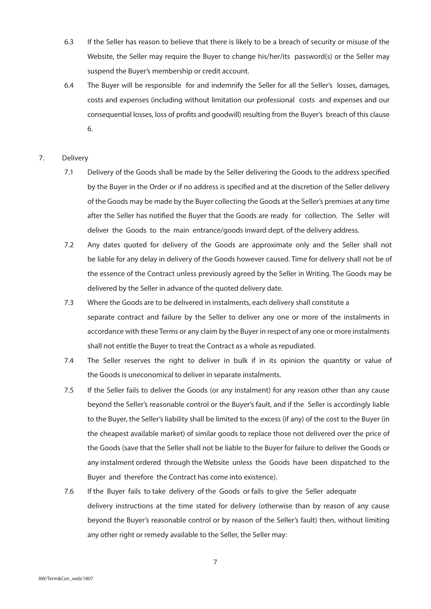- 6.3 If the Seller has reason to believe that there is likely to be a breach of security or misuse of the Website, the Seller may require the Buyer to change his/her/its password(s) or the Seller may suspend the Buyer's membership or credit account.
- 6.4 The Buyer will be responsible for and indemnify the Seller for all the Seller's losses, damages, costs and expenses (including without limitation our professional costs and expenses and our consequential losses, loss of profits and goodwill) resulting from the Buyer's breach of this clause 6.
- 7. Delivery
	- 7.1 Delivery of the Goods shall be made by the Seller delivering the Goods to the address specified by the Buyer in the Order or if no address is specified and at the discretion of the Seller delivery of the Goods may be made by the Buyer collecting the Goods at the Seller's premises at any time after the Seller has notified the Buyer that the Goods are ready for collection. The Seller will deliver the Goods to the main entrance/goods inward dept. of the delivery address.
	- 7.2 Any dates quoted for delivery of the Goods are approximate only and the Seller shall not be liable for any delay in delivery of the Goods however caused. Time for delivery shall not be of the essence of the Contract unless previously agreed by the Seller in Writing. The Goods may be delivered by the Seller in advance of the quoted delivery date.
	- 7.3 Where the Goods are to be delivered in instalments, each delivery shall constitute a separate contract and failure by the Seller to deliver any one or more of the instalments in accordance with these Terms or any claim by the Buyer in respect of any one or more instalments shall not entitle the Buyer to treat the Contract as a whole as repudiated.
	- 7.4 The Seller reserves the right to deliver in bulk if in its opinion the quantity or value of the Goods is uneconomical to deliver in separate instalments.
	- 7.5 If the Seller fails to deliver the Goods (or any instalment) for any reason other than any cause beyond the Seller's reasonable control or the Buyer's fault, and if the Seller is accordingly liable to the Buyer, the Seller's liability shall be limited to the excess (if any) of the cost to the Buyer (in the cheapest available market) of similar goods to replace those not delivered over the price of the Goods (save that the Seller shall not be liable to the Buyer for failure to deliver the Goods or any instalment ordered through the Website unless the Goods have been dispatched to the Buyer and therefore the Contract has come into existence).
	- 7.6 If the Buyer fails to take delivery of the Goods or fails to give the Seller adequate delivery instructions at the time stated for delivery (otherwise than by reason of any cause beyond the Buyer's reasonable control or by reason of the Seller's fault) then, without limiting any other right or remedy available to the Seller, the Seller may: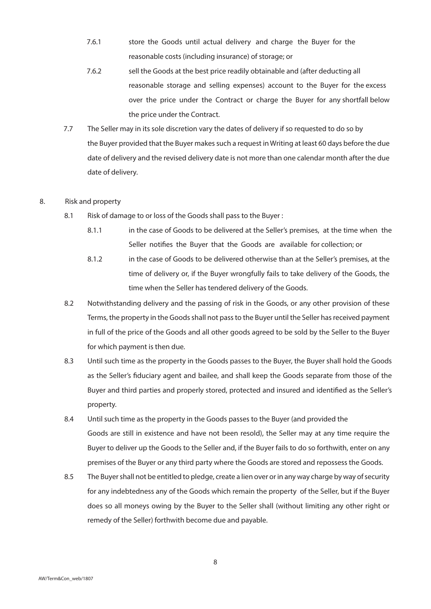- 7.6.1 store the Goods until actual delivery and charge the Buyer for the reasonable costs (including insurance) of storage; or
- 7.6.2 sell the Goods at the best price readily obtainable and (after deducting all reasonable storage and selling expenses) account to the Buyer for the excess over the price under the Contract or charge the Buyer for any shortfall below the price under the Contract.
- 7.7 The Seller may in its sole discretion vary the dates of delivery if so requested to do so by the Buyer provided that the Buyer makes such a request in Writing at least 60 days before the due date of delivery and the revised delivery date is not more than one calendar month after the due date of delivery.

# 8. Risk and property

- 8.1 Risk of damage to or loss of the Goods shall pass to the Buyer:
	- 8.1.1 in the case of Goods to be delivered at the Seller's premises, at the time when the Seller notifies the Buyer that the Goods are available for collection; or
	- 8.1.2 in the case of Goods to be delivered otherwise than at the Seller's premises, at the time of delivery or, if the Buyer wrongfully fails to take delivery of the Goods, the time when the Seller has tendered delivery of the Goods.
- 8.2 Notwithstanding delivery and the passing of risk in the Goods, or any other provision of these Terms, the property in the Goods shall not pass to the Buyer until the Seller has received payment in full of the price of the Goods and all other goods agreed to be sold by the Seller to the Buyer for which payment is then due.
- 8.3 Until such time as the property in the Goods passes to the Buyer, the Buyer shall hold the Goods as the Seller's fiduciary agent and bailee, and shall keep the Goods separate from those of the Buyer and third parties and properly stored, protected and insured and identified as the Seller's property.
- 8.4 Until such time as the property in the Goods passes to the Buyer (and provided the Goods are still in existence and have not been resold), the Seller may at any time require the Buyer to deliver up the Goods to the Seller and, if the Buyer fails to do so forthwith, enter on any premises of the Buyer or any third party where the Goods are stored and repossess the Goods.
- 8.5 The Buyer shall not be entitled to pledge, create a lien over or in any way charge by way of security for any indebtedness any of the Goods which remain the property of the Seller, but if the Buyer does so all moneys owing by the Buyer to the Seller shall (without limiting any other right or remedy of the Seller) forthwith become due and payable.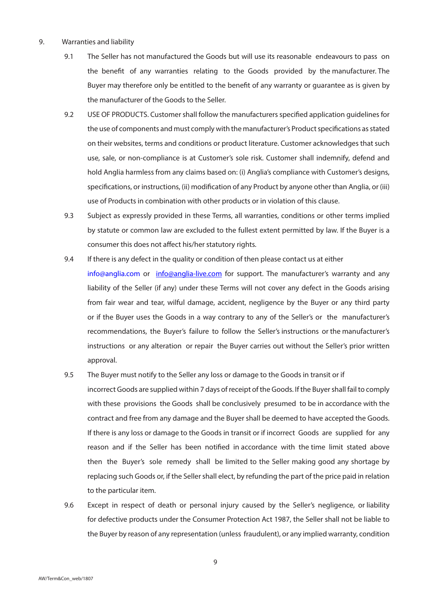#### 9. Warranties and liability

- 9.1 The Seller has not manufactured the Goods but will use its reasonable endeavours to pass on the benefit of any warranties relating to the Goods provided by the manufacturer. The Buyer may therefore only be entitled to the benefit of any warranty or guarantee as is given by the manufacturer of the Goods to the Seller.
- 9.2 USE OF PRODUCTS. Customer shall follow the manufacturers specified application guidelines for the use of components and must comply with the manufacturer's Product specifications as stated on their websites, terms and conditions or product literature. Customer acknowledges that such use, sale, or non-compliance is at Customer's sole risk. Customer shall indemnify, defend and hold Anglia harmless from any claims based on: (i) Anglia's compliance with Customer's designs, specifications, or instructions, (ii) modification of any Product by anyone other than Anglia, or (iii) use of Products in combination with other products or in violation of this clause.
- 9.3 Subject as expressly provided in these Terms, all warranties, conditions or other terms implied by statute or common law are excluded to the fullest extent permitted by law. If the Buyer is a consumer this does not affect his/her statutory rights.
- 9.4 If there is any defect in the quality or condition of then please contact us at either info@anglia.com or info@anglia-live.com for support. The manufacturer's warranty and any liability of the Seller (if any) under these Terms will not cover any defect in the Goods arising from fair wear and tear, wilful damage, accident, negligence by the Buyer or any third party or if the Buyer uses the Goods in a way contrary to any of the Seller's or the manufacturer's recommendations, the Buyer's failure to follow the Seller's instructions or the manufacturer's instructions or any alteration or repair the Buyer carries out without the Seller's prior written approval.
- 9.5 The Buyer must notify to the Seller any loss or damage to the Goods in transit or if

incorrect Goods are supplied within 7 days of receipt of the Goods. If the Buyer shall fail to comply with these provisions the Goods shall be conclusively presumed to be in accordance with the contract and free from any damage and the Buyer shall be deemed to have accepted the Goods. If there is any loss or damage to the Goods in transit or if incorrect Goods are supplied for any reason and if the Seller has been notified in accordance with the time limit stated above then the Buyer's sole remedy shall be limited to the Seller making good any shortage by replacing such Goods or, if the Seller shall elect, by refunding the part of the price paid in relation to the particular item.

9.6 Except in respect of death or personal injury caused by the Seller's negligence, or liability for defective products under the Consumer Protection Act 1987, the Seller shall not be liable to the Buyer by reason of any representation (unless fraudulent), or any implied warranty, condition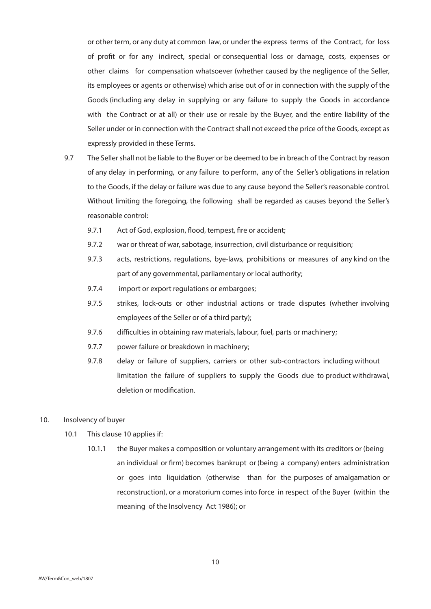or other term, or any duty at common law, or under the express terms of the Contract, for loss of profit or for any indirect, special or consequential loss or damage, costs, expenses or other claims for compensation whatsoever (whether caused by the negligence of the Seller, its employees or agents or otherwise) which arise out of or in connection with the supply of the Goods (including any delay in supplying or any failure to supply the Goods in accordance with the Contract or at all) or their use or resale by the Buyer, and the entire liability of the Seller under or in connection with the Contract shall not exceed the price of the Goods, except as expressly provided in these Terms.

- 9.7 The Seller shall not be liable to the Buyer or be deemed to be in breach of the Contract by reason of any delay in performing, or any failure to perform, any of the Seller's obligations in relation to the Goods, if the delay or failure was due to any cause beyond the Seller's reasonable control. Without limiting the foregoing, the following shall be regarded as causes beyond the Seller's reasonable control:
	- 9.7.1 Act of God, explosion, flood, tempest, fire or accident;
	- 9.7.2 war or threat of war, sabotage, insurrection, civil disturbance or requisition;
	- 9.7.3 acts, restrictions, regulations, bye-laws, prohibitions or measures of any kind on the part of any governmental, parliamentary or local authority;
	- 9.7.4 import or export regulations or embargoes;
	- 9.7.5 strikes, lock-outs or other industrial actions or trade disputes (whether involving employees of the Seller or of a third party);
	- 9.7.6 difficulties in obtaining raw materials, labour, fuel, parts or machinery;
	- 9.7.7 power failure or breakdown in machinery;
	- 9.7.8 delay or failure of suppliers, carriers or other sub-contractors including without limitation the failure of suppliers to supply the Goods due to product withdrawal, deletion or modification.
- 10. Insolvency of buyer
	- 10.1 This clause 10 applies if:
		- 10.1.1 the Buyer makes a composition or voluntary arrangement with its creditors or (being an individual or firm) becomes bankrupt or (being a company) enters administration or goes into liquidation (otherwise than for the purposes of amalgamation or reconstruction), or a moratorium comes into force in respect of the Buyer (within the meaning of the Insolvency Act 1986); or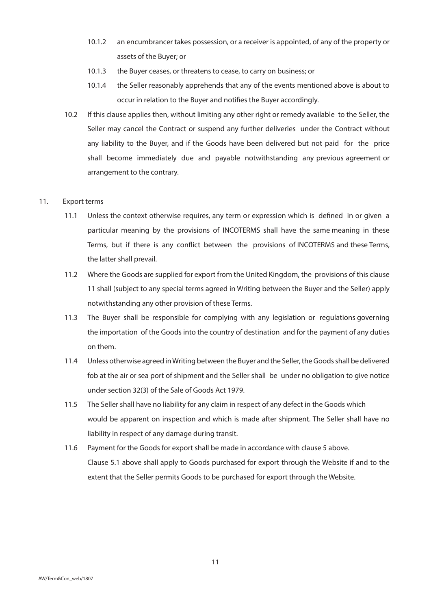- 10.1.2 an encumbrancer takes possession, or a receiver is appointed, of any of the property or assets of the Buyer; or
- 10.1.3 the Buyer ceases, or threatens to cease, to carry on business; or
- 10.1.4 the Seller reasonably apprehends that any of the events mentioned above is about to occur in relation to the Buyer and notifies the Buyer accordingly.
- 10.2 If this clause applies then, without limiting any other right or remedy available to the Seller, the Seller may cancel the Contract or suspend any further deliveries under the Contract without any liability to the Buyer, and if the Goods have been delivered but not paid for the price shall become immediately due and payable notwithstanding any previous agreement or arrangement to the contrary.

### 11. Export terms

- 11.1 Unless the context otherwise requires, any term or expression which is defined in or given a particular meaning by the provisions of INCOTERMS shall have the same meaning in these Terms, but if there is any conflict between the provisions of INCOTERMS and these Terms, the latter shall prevail.
- 11.2 Where the Goods are supplied for export from the United Kingdom, the provisions of this clause 11 shall (subject to any special terms agreed in Writing between the Buyer and the Seller) apply notwithstanding any other provision of these Terms.
- 11.3 The Buyer shall be responsible for complying with any legislation or regulations governing the importation of the Goods into the country of destination and for the payment of any duties on them.
- 11.4 Unless otherwise agreed in Writing between the Buyer and the Seller, the Goods shall be delivered fob at the air or sea port of shipment and the Seller shall be under no obligation to give notice under section 32(3) of the Sale of Goods Act 1979.
- 11.5 The Seller shall have no liability for any claim in respect of any defect in the Goods which would be apparent on inspection and which is made after shipment. The Seller shall have no liability in respect of any damage during transit.
- 11.6 Payment for the Goods for export shall be made in accordance with clause 5 above. Clause 5.1 above shall apply to Goods purchased for export through the Website if and to the extent that the Seller permits Goods to be purchased for export through the Website.